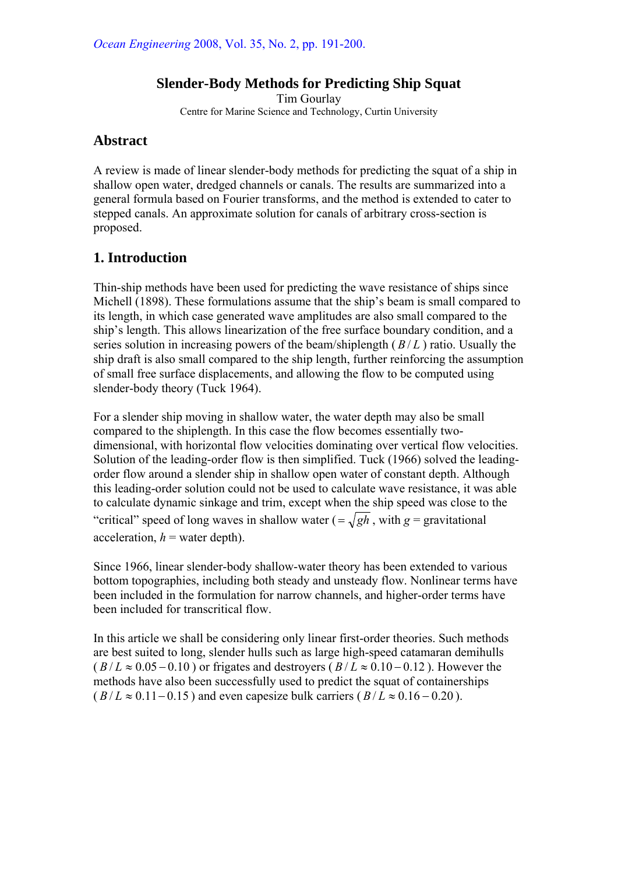## **Slender-Body Methods for Predicting Ship Squat**

Tim Gourlay Centre for Marine Science and Technology, Curtin University

# **Abstract**

A review is made of linear slender-body methods for predicting the squat of a ship in shallow open water, dredged channels or canals. The results are summarized into a general formula based on Fourier transforms, and the method is extended to cater to stepped canals. An approximate solution for canals of arbitrary cross-section is proposed.

# **1. Introduction**

Thin-ship methods have been used for predicting the wave resistance of ships since Michell (1898). These formulations assume that the ship's beam is small compared to its length, in which case generated wave amplitudes are also small compared to the ship's length. This allows linearization of the free surface boundary condition, and a series solution in increasing powers of the beam/shiplength ( $B/L$ ) ratio. Usually the ship draft is also small compared to the ship length, further reinforcing the assumption of small free surface displacements, and allowing the flow to be computed using slender-body theory (Tuck 1964).

For a slender ship moving in shallow water, the water depth may also be small compared to the shiplength. In this case the flow becomes essentially twodimensional, with horizontal flow velocities dominating over vertical flow velocities. Solution of the leading-order flow is then simplified. Tuck (1966) solved the leadingorder flow around a slender ship in shallow open water of constant depth. Although this leading-order solution could not be used to calculate wave resistance, it was able to calculate dynamic sinkage and trim, except when the ship speed was close to the "critical" speed of long waves in shallow water  $( = \sqrt{gh}$ , with  $g =$  gravitational acceleration,  $h =$  water depth).

Since 1966, linear slender-body shallow-water theory has been extended to various bottom topographies, including both steady and unsteady flow. Nonlinear terms have been included in the formulation for narrow channels, and higher-order terms have been included for transcritical flow.

In this article we shall be considering only linear first-order theories. Such methods are best suited to long, slender hulls such as large high-speed catamaran demihulls  $(B/L \approx 0.05 - 0.10)$  or frigates and destroyers  $(B/L \approx 0.10 - 0.12)$ . However the methods have also been successfully used to predict the squat of containerships  $(B/L \approx 0.11-0.15)$  and even capesize bulk carriers  $(B/L \approx 0.16-0.20)$ .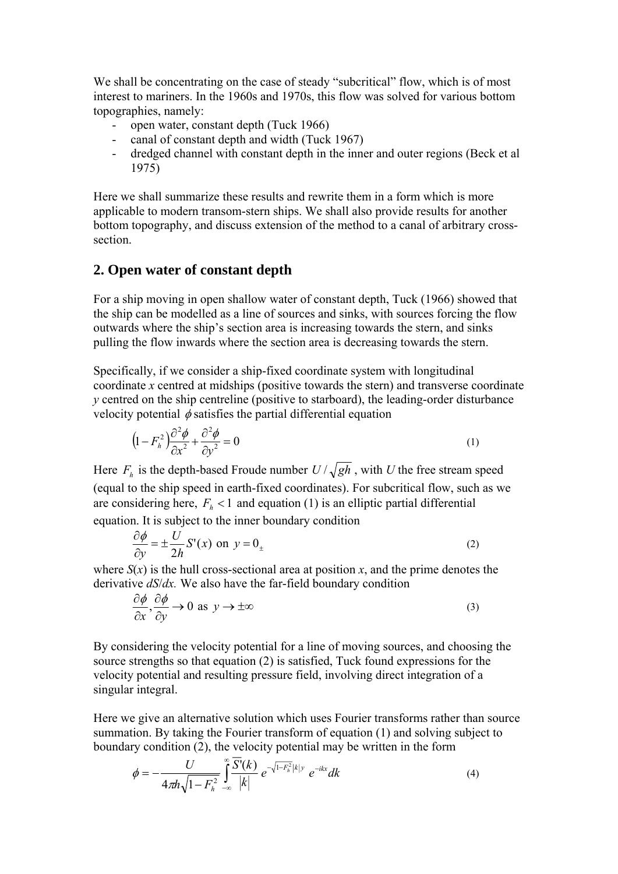We shall be concentrating on the case of steady "subcritical" flow, which is of most interest to mariners. In the 1960s and 1970s, this flow was solved for various bottom topographies, namely:

- open water, constant depth (Tuck 1966)
- canal of constant depth and width (Tuck 1967)
- dredged channel with constant depth in the inner and outer regions (Beck et al 1975)

Here we shall summarize these results and rewrite them in a form which is more applicable to modern transom-stern ships. We shall also provide results for another bottom topography, and discuss extension of the method to a canal of arbitrary crosssection.

#### **2. Open water of constant depth**

For a ship moving in open shallow water of constant depth, Tuck (1966) showed that the ship can be modelled as a line of sources and sinks, with sources forcing the flow outwards where the ship's section area is increasing towards the stern, and sinks pulling the flow inwards where the section area is decreasing towards the stern.

Specifically, if we consider a ship-fixed coordinate system with longitudinal coordinate *x* centred at midships (positive towards the stern) and transverse coordinate *y* centred on the ship centreline (positive to starboard), the leading-order disturbance velocity potential  $\phi$  satisfies the partial differential equation

$$
\left(1 - F_h^2\right) \frac{\partial^2 \phi}{\partial x^2} + \frac{\partial^2 \phi}{\partial y^2} = 0
$$
\n(1)

Here  $F_h$  is the depth-based Froude number  $U/\sqrt{gh}$ , with *U* the free stream speed (equal to the ship speed in earth-fixed coordinates). For subcritical flow, such as we are considering here,  $F<sub>h</sub> < 1$  and equation (1) is an elliptic partial differential equation. It is subject to the inner boundary condition

$$
\frac{\partial \phi}{\partial y} = \pm \frac{U}{2h} S'(x) \text{ on } y = 0_{\pm}
$$
 (2)

where  $S(x)$  is the hull cross-sectional area at position *x*, and the prime denotes the derivative *dS*/*dx.* We also have the far-field boundary condition

$$
\frac{\partial \phi}{\partial x}, \frac{\partial \phi}{\partial y} \to 0 \text{ as } y \to \pm \infty
$$
 (3)

By considering the velocity potential for a line of moving sources, and choosing the source strengths so that equation (2) is satisfied, Tuck found expressions for the velocity potential and resulting pressure field, involving direct integration of a singular integral.

Here we give an alternative solution which uses Fourier transforms rather than source summation. By taking the Fourier transform of equation (1) and solving subject to boundary condition (2), the velocity potential may be written in the form

$$
\phi = -\frac{U}{4\pi h \sqrt{1 - F_h^2}} \int_{-\infty}^{\infty} \frac{\overline{S'}(k)}{|k|} e^{-\sqrt{1 - F_h^2}|k| y} e^{-ikx} dk
$$
\n(4)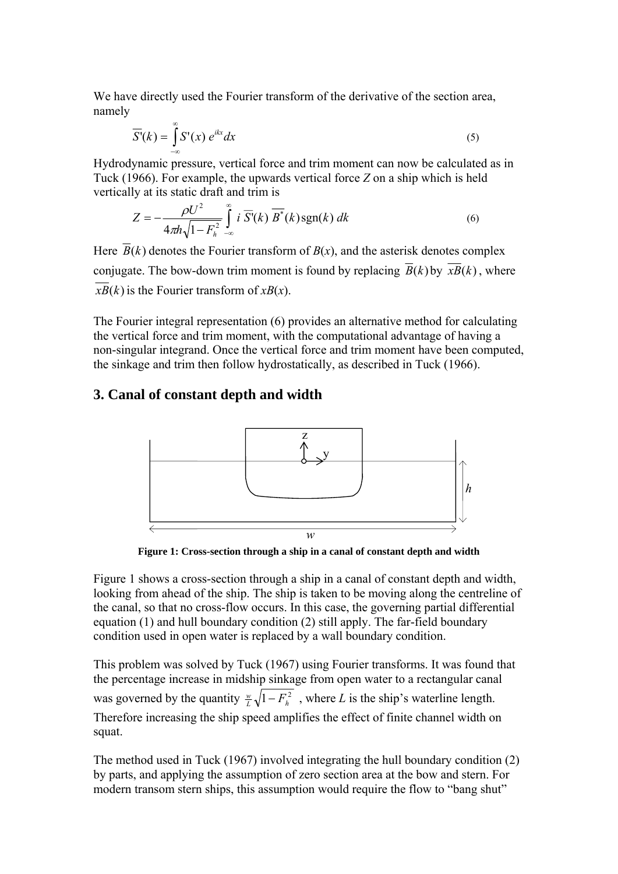We have directly used the Fourier transform of the derivative of the section area, namely

$$
\overline{S'}(k) = \int_{-\infty}^{\infty} S'(x) e^{ikx} dx
$$
 (5)

Hydrodynamic pressure, vertical force and trim moment can now be calculated as in Tuck (1966). For example, the upwards vertical force *Z* on a ship which is held vertically at its static draft and trim is

$$
Z = -\frac{\rho U^2}{4\pi h \sqrt{1 - F_h^2}} \int_{-\infty}^{\infty} i \overline{S}(k) \overline{B}^*(k) \operatorname{sgn}(k) dk
$$
 (6)

Here  $\overline{B}(k)$  denotes the Fourier transform of  $B(x)$ , and the asterisk denotes complex conjugate. The bow-down trim moment is found by replacing  $\overline{B}(k)$  by  $\overline{xB}(k)$ , where  $xB(k)$  is the Fourier transform of  $xB(x)$ .

The Fourier integral representation (6) provides an alternative method for calculating the vertical force and trim moment, with the computational advantage of having a non-singular integrand. Once the vertical force and trim moment have been computed, the sinkage and trim then follow hydrostatically, as described in Tuck (1966).

#### **3. Canal of constant depth and width**



**Figure 1: Cross-section through a ship in a canal of constant depth and width** 

Figure 1 shows a cross-section through a ship in a canal of constant depth and width, looking from ahead of the ship. The ship is taken to be moving along the centreline of the canal, so that no cross-flow occurs. In this case, the governing partial differential equation (1) and hull boundary condition (2) still apply. The far-field boundary condition used in open water is replaced by a wall boundary condition.

This problem was solved by Tuck (1967) using Fourier transforms. It was found that the percentage increase in midship sinkage from open water to a rectangular canal was governed by the quantity  $\frac{w}{L} \sqrt{1 - F_h^2}$ , where *L* is the ship's waterline length. Therefore increasing the ship speed amplifies the effect of finite channel width on squat.

The method used in Tuck (1967) involved integrating the hull boundary condition (2) by parts, and applying the assumption of zero section area at the bow and stern. For modern transom stern ships, this assumption would require the flow to "bang shut"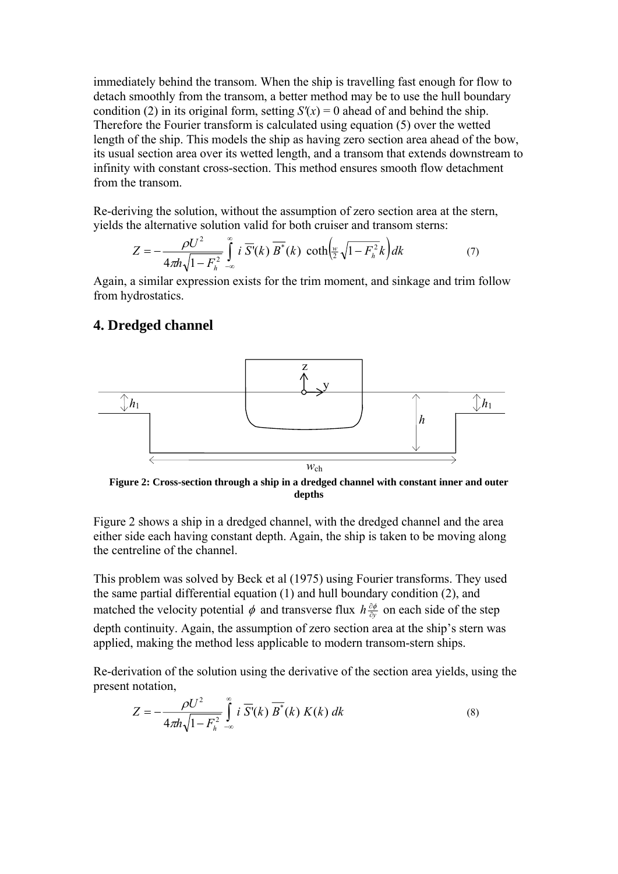immediately behind the transom. When the ship is travelling fast enough for flow to detach smoothly from the transom, a better method may be to use the hull boundary condition (2) in its original form, setting  $S'(x) = 0$  ahead of and behind the ship. Therefore the Fourier transform is calculated using equation (5) over the wetted length of the ship. This models the ship as having zero section area ahead of the bow, its usual section area over its wetted length, and a transom that extends downstream to infinity with constant cross-section. This method ensures smooth flow detachment from the transom.

Re-deriving the solution, without the assumption of zero section area at the stern, yields the alternative solution valid for both cruiser and transom sterns:

$$
Z = -\frac{\rho U^2}{4\pi h \sqrt{1 - F_h^2}} \int_{-\infty}^{\infty} i \overline{S'}(k) \overline{B'}(k) \coth\left(\frac{w}{2}\sqrt{1 - F_h^2}k\right) dk \tag{7}
$$

Again, a similar expression exists for the trim moment, and sinkage and trim follow from hydrostatics.

#### **4. Dredged channel**



**Figure 2: Cross-section through a ship in a dredged channel with constant inner and outer depths** 

Figure 2 shows a ship in a dredged channel, with the dredged channel and the area either side each having constant depth. Again, the ship is taken to be moving along the centreline of the channel.

This problem was solved by Beck et al (1975) using Fourier transforms. They used the same partial differential equation (1) and hull boundary condition (2), and matched the velocity potential  $\phi$  and transverse flux  $h \frac{\partial \phi}{\partial y}$  on each side of the step depth continuity. Again, the assumption of zero section area at the ship's stern was applied, making the method less applicable to modern transom-stern ships.

Re-derivation of the solution using the derivative of the section area yields, using the present notation,

$$
Z = -\frac{\rho U^2}{4\pi h \sqrt{1 - F_h^2}} \int_{-\infty}^{\infty} i \ \overline{S'}(k) \ \overline{B^*}(k) \ K(k) \ dk \tag{8}
$$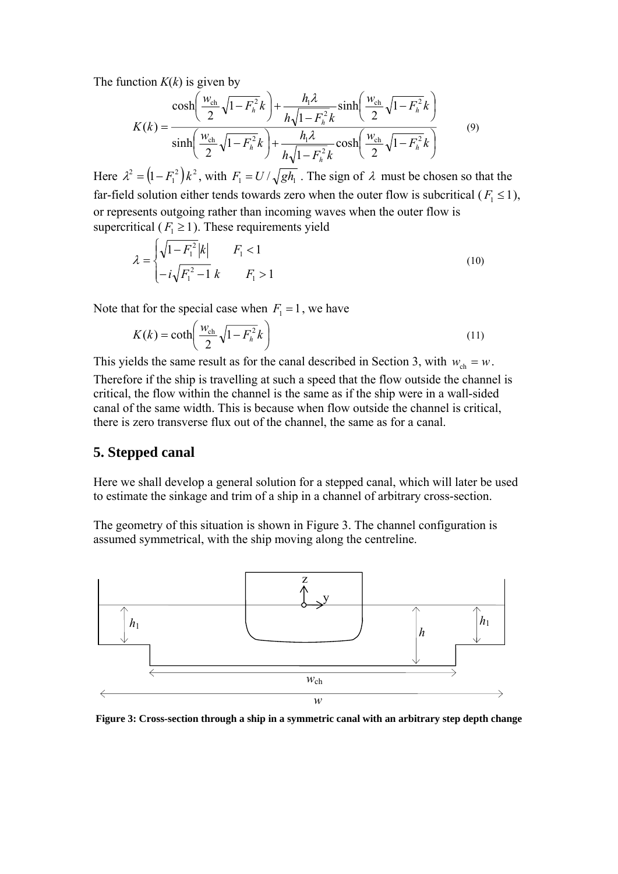The function  $K(k)$  is given by

$$
K(k) = \frac{\cosh\left(\frac{W_{\text{ch}}}{2}\sqrt{1 - F_{h}^{2}}k\right) + \frac{h_{1}\lambda}{h\sqrt{1 - F_{h}^{2}}k}\sinh\left(\frac{W_{\text{ch}}}{2}\sqrt{1 - F_{h}^{2}}k\right)}{\sinh\left(\frac{W_{\text{ch}}}{2}\sqrt{1 - F_{h}^{2}}k\right) + \frac{h_{1}\lambda}{h\sqrt{1 - F_{h}^{2}}k}\cosh\left(\frac{W_{\text{ch}}}{2}\sqrt{1 - F_{h}^{2}}k\right)}
$$
(9)

Here  $\lambda^2 = (1 - F_1^2)k^2$ , with  $F_1 = U/\sqrt{gh_1}$ . The sign of  $\lambda$  must be chosen so that the far-field solution either tends towards zero when the outer flow is subcritical ( $F_1 \le 1$ ), or represents outgoing rather than incoming waves when the outer flow is supercritical ( $F_1 \ge 1$ ). These requirements yield

$$
\lambda = \begin{cases} \sqrt{1 - F_1^2} |k| & F_1 < 1 \\ -i \sqrt{F_1^2 - 1} k & F_1 > 1 \end{cases}
$$
\n(10)

Note that for the special case when  $F_1 = 1$ , we have

$$
K(k) = \coth\left(\frac{w_{\rm ch}}{2}\sqrt{1 - F_{h}^{2}}k\right)
$$
\n(11)

This yields the same result as for the canal described in Section 3, with  $w_{ch} = w$ . Therefore if the ship is travelling at such a speed that the flow outside the channel is critical, the flow within the channel is the same as if the ship were in a wall-sided canal of the same width. This is because when flow outside the channel is critical, there is zero transverse flux out of the channel, the same as for a canal.

#### **5. Stepped canal**

Here we shall develop a general solution for a stepped canal, which will later be used to estimate the sinkage and trim of a ship in a channel of arbitrary cross-section.

The geometry of this situation is shown in Figure 3. The channel configuration is assumed symmetrical, with the ship moving along the centreline.



**Figure 3: Cross-section through a ship in a symmetric canal with an arbitrary step depth change**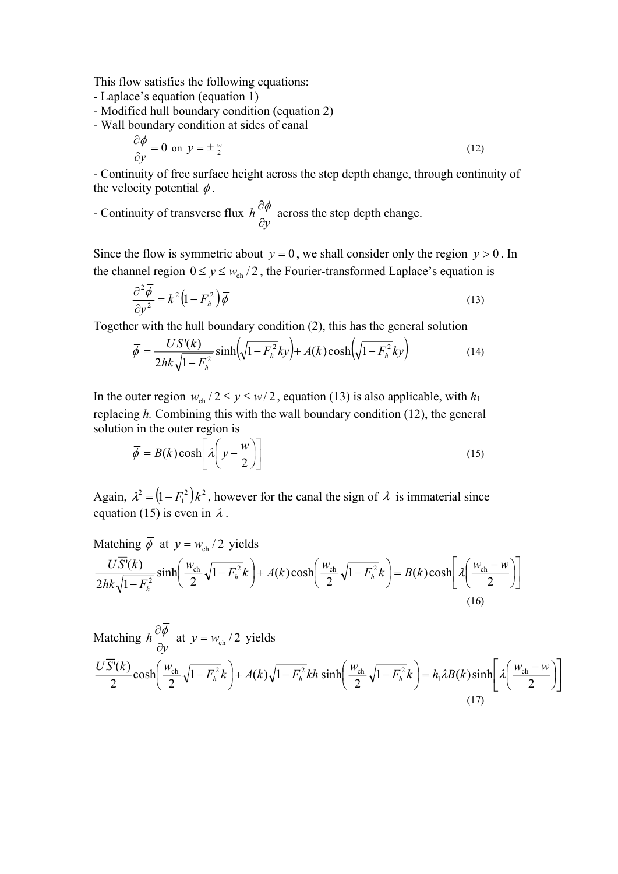This flow satisfies the following equations:

- Laplace's equation (equation 1)
- Modified hull boundary condition (equation 2)
- Wall boundary condition at sides of canal

$$
\frac{\partial \phi}{\partial y} = 0 \text{ on } y = \pm \frac{w}{2} \tag{12}
$$

- Continuity of free surface height across the step depth change, through continuity of the velocity potential  $\phi$ .

- Continuity of transverse flux *y h* ∂  $\frac{\partial \phi}{\partial \phi}$  across the step depth change.

Since the flow is symmetric about  $y = 0$ , we shall consider only the region  $y > 0$ . In the channel region  $0 \le y \le w_{ch}/2$ , the Fourier-transformed Laplace's equation is

$$
\frac{\partial^2 \overline{\phi}}{\partial y^2} = k^2 \left( 1 - F_h^2 \right) \overline{\phi}
$$
\n(13)

Together with the hull boundary condition (2), this has the general solution

$$
\overline{\phi} = \frac{US'(k)}{2hk\sqrt{1 - F_h^2}} \sinh\left(\sqrt{1 - F_h^2}ky\right) + A(k)\cosh\left(\sqrt{1 - F_h^2}ky\right)
$$
(14)

In the outer region  $w_{ch}$  /  $2 \le y \le w/2$ , equation (13) is also applicable, with  $h_1$ replacing *h.* Combining this with the wall boundary condition (12), the general solution in the outer region is

$$
\overline{\phi} = B(k) \cosh\left[\lambda \left(y - \frac{w}{2}\right)\right]
$$
 (15)

Again,  $\lambda^2 = (1 - F_1^2)k^2$ , however for the canal the sign of  $\lambda$  is immaterial since equation (15) is even in  $\lambda$ .

Matching 
$$
\overline{\phi}
$$
 at  $y = w_{ch}/2$  yields

\n
$$
\frac{U\overline{S}(k)}{2hk\sqrt{1-F_h^2}}\sinh\left(\frac{w_{ch}}{2}\sqrt{1-F_h^2}k\right) + A(k)\cosh\left(\frac{w_{ch}}{2}\sqrt{1-F_h^2}k\right) = B(k)\cosh\left[\lambda\left(\frac{w_{ch}-w}{2}\right)\right]
$$
\n(16)

Matching 
$$
h \frac{\partial \overline{\phi}}{\partial y}
$$
 at  $y = w_{ch}/2$  yields

\n
$$
\frac{U \overline{S}(k)}{2} \cosh\left(\frac{w_{ch}}{2} \sqrt{1 - F_{h}^{2}} k\right) + A(k) \sqrt{1 - F_{h}^{2}} k h \sinh\left(\frac{w_{ch}}{2} \sqrt{1 - F_{h}^{2}} k\right) = h_{1} \lambda B(k) \sinh\left[\lambda \left(\frac{w_{ch} - w}{2}\right)\right]
$$
\n(17)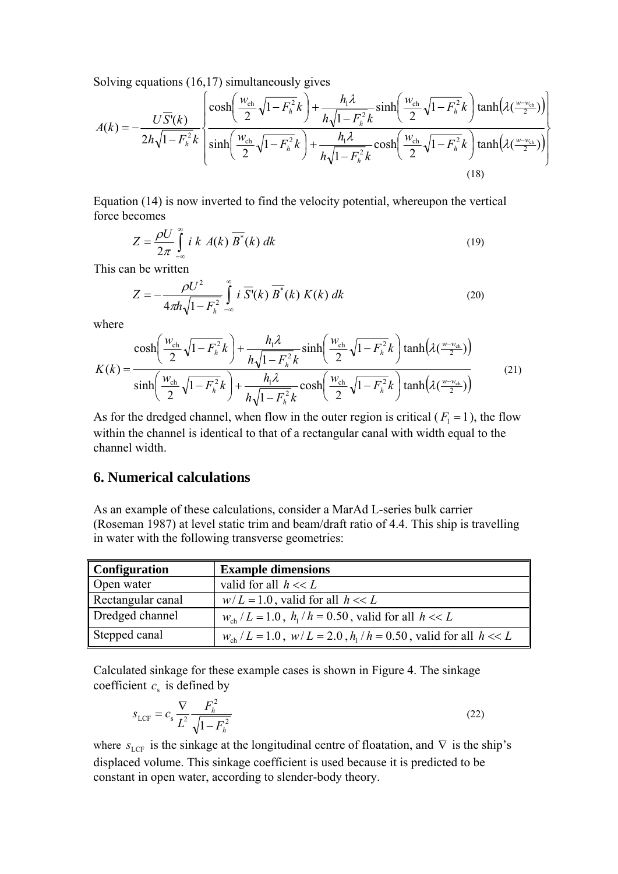Solving equations (16,17) simultaneously gives

$$
A(k) = -\frac{U\overline{S}(k)}{2h\sqrt{1-F_h^2k}} \left\{ \frac{\cosh\left(\frac{W_{\text{ch}}}{2}\sqrt{1-F_h^2k}\right) + \frac{h_1\lambda}{h\sqrt{1-F_h^2k}}\sinh\left(\frac{W_{\text{ch}}}{2}\sqrt{1-F_h^2k}\right)\tanh\left(\lambda\left(\frac{W_{\text{ch}}}{2}\right)\right)}{\sinh\left(\frac{W_{\text{ch}}}{2}\sqrt{1-F_h^2k}\right) + \frac{h_1\lambda}{h\sqrt{1-F_h^2k}}\cosh\left(\frac{W_{\text{ch}}}{2}\sqrt{1-F_h^2k}\right)\tanh\left(\lambda\left(\frac{W_{\text{ch}}}{2}\right)\right)}\right\}
$$
(18)

Equation (14) is now inverted to find the velocity potential, whereupon the vertical force becomes

$$
Z = \frac{\rho U}{2\pi} \int_{-\infty}^{\infty} i \, k \, A(k) \, \overline{B^*}(k) \, dk \tag{19}
$$

This can be written

$$
Z = -\frac{\rho U^2}{4\pi h \sqrt{1 - F_h^2}} \int_{-\infty}^{\infty} i \overline{S'}(k) \overline{B'}(k) K(k) dk
$$
 (20)

where

$$
K(k) = \frac{\cosh\left(\frac{w_{\text{ch}}}{2}\sqrt{1-F_{h}^{2}}k\right) + \frac{h_{1}\lambda}{h\sqrt{1-F_{h}^{2}}k}\sinh\left(\frac{w_{\text{ch}}}{2}\sqrt{1-F_{h}^{2}}k\right)\tanh\left(\lambda\left(\frac{w-w_{\text{ch}}}{2}\right)\right)}{\sinh\left(\frac{w_{\text{ch}}}{2}\sqrt{1-F_{h}^{2}}k\right) + \frac{h_{1}\lambda}{h\sqrt{1-F_{h}^{2}}k}\cosh\left(\frac{w_{\text{ch}}}{2}\sqrt{1-F_{h}^{2}}k\right)\tanh\left(\lambda\left(\frac{w-w_{\text{ch}}}{2}\right)\right)}\tag{21}
$$

As for the dredged channel, when flow in the outer region is critical ( $F_1 = 1$ ), the flow within the channel is identical to that of a rectangular canal with width equal to the channel width.

#### **6. Numerical calculations**

As an example of these calculations, consider a MarAd L-series bulk carrier (Roseman 1987) at level static trim and beam/draft ratio of 4.4. This ship is travelling in water with the following transverse geometries:

| Configuration     | <b>Example dimensions</b>                                                 |
|-------------------|---------------------------------------------------------------------------|
| Open water        | valid for all $h \ll L$                                                   |
| Rectangular canal | $w/L = 1.0$ , valid for all $h \ll L$                                     |
| Dredged channel   | $w_{ch}/L = 1.0$ , $h_1/h = 0.50$ , valid for all $h \ll L$               |
| Stepped canal     | $w_{ch}/L = 1.0$ , $w/L = 2.0$ , $h_1/h = 0.50$ , valid for all $h \ll L$ |

Calculated sinkage for these example cases is shown in Figure 4. The sinkage coefficient  $c<sub>s</sub>$  is defined by

$$
s_{\text{LCF}} = c_s \frac{\nabla}{L^2} \frac{F_h^2}{\sqrt{1 - F_h^2}}
$$
(22)

where  $s_{\text{LCF}}$  is the sinkage at the longitudinal centre of floatation, and  $\nabla$  is the ship's displaced volume. This sinkage coefficient is used because it is predicted to be constant in open water, according to slender-body theory.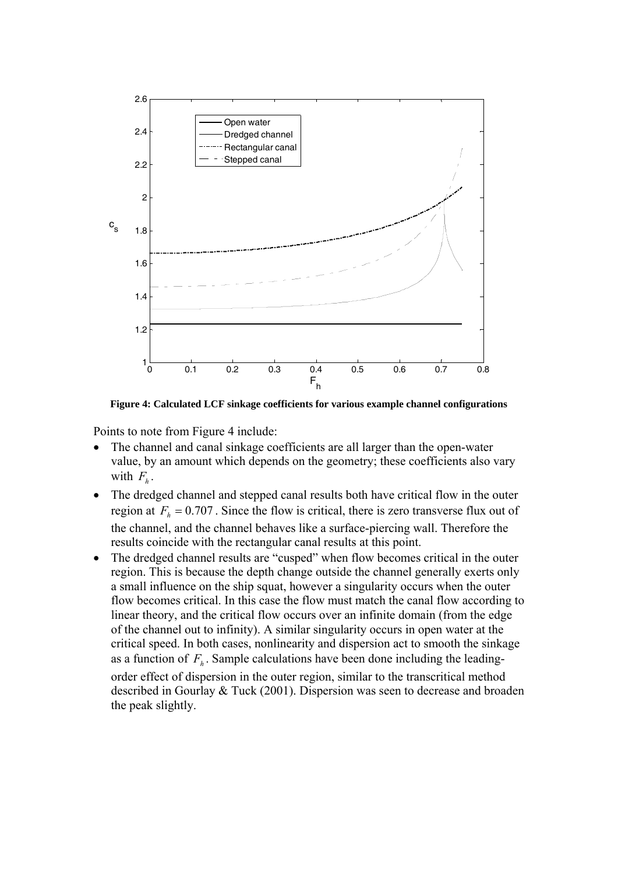

**Figure 4: Calculated LCF sinkage coefficients for various example channel configurations** 

Points to note from Figure 4 include:

- The channel and canal sinkage coefficients are all larger than the open-water value, by an amount which depends on the geometry; these coefficients also vary with  $F_h$ .
- The dredged channel and stepped canal results both have critical flow in the outer region at  $F_h = 0.707$ . Since the flow is critical, there is zero transverse flux out of the channel, and the channel behaves like a surface-piercing wall. Therefore the results coincide with the rectangular canal results at this point.
- The dredged channel results are "cusped" when flow becomes critical in the outer region. This is because the depth change outside the channel generally exerts only a small influence on the ship squat, however a singularity occurs when the outer flow becomes critical. In this case the flow must match the canal flow according to linear theory, and the critical flow occurs over an infinite domain (from the edge of the channel out to infinity). A similar singularity occurs in open water at the critical speed. In both cases, nonlinearity and dispersion act to smooth the sinkage as a function of  $F<sub>h</sub>$ . Sample calculations have been done including the leadingorder effect of dispersion in the outer region, similar to the transcritical method described in Gourlay & Tuck (2001). Dispersion was seen to decrease and broaden the peak slightly.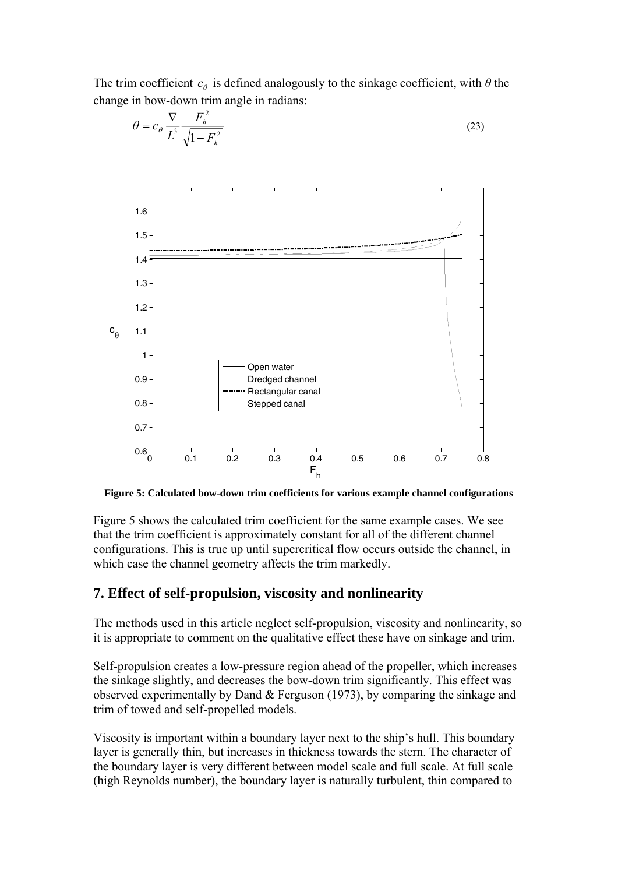



$$
\theta = c_{\theta} \frac{\nabla}{L^3} \frac{F_h^2}{\sqrt{1 - F_h^2}}
$$
\n(23)

**Figure 5: Calculated bow-down trim coefficients for various example channel configurations** 

Figure 5 shows the calculated trim coefficient for the same example cases. We see that the trim coefficient is approximately constant for all of the different channel configurations. This is true up until supercritical flow occurs outside the channel, in which case the channel geometry affects the trim markedly.

#### **7. Effect of self-propulsion, viscosity and nonlinearity**

The methods used in this article neglect self-propulsion, viscosity and nonlinearity, so it is appropriate to comment on the qualitative effect these have on sinkage and trim.

Self-propulsion creates a low-pressure region ahead of the propeller, which increases the sinkage slightly, and decreases the bow-down trim significantly. This effect was observed experimentally by Dand & Ferguson (1973), by comparing the sinkage and trim of towed and self-propelled models.

Viscosity is important within a boundary layer next to the ship's hull. This boundary layer is generally thin, but increases in thickness towards the stern. The character of the boundary layer is very different between model scale and full scale. At full scale (high Reynolds number), the boundary layer is naturally turbulent, thin compared to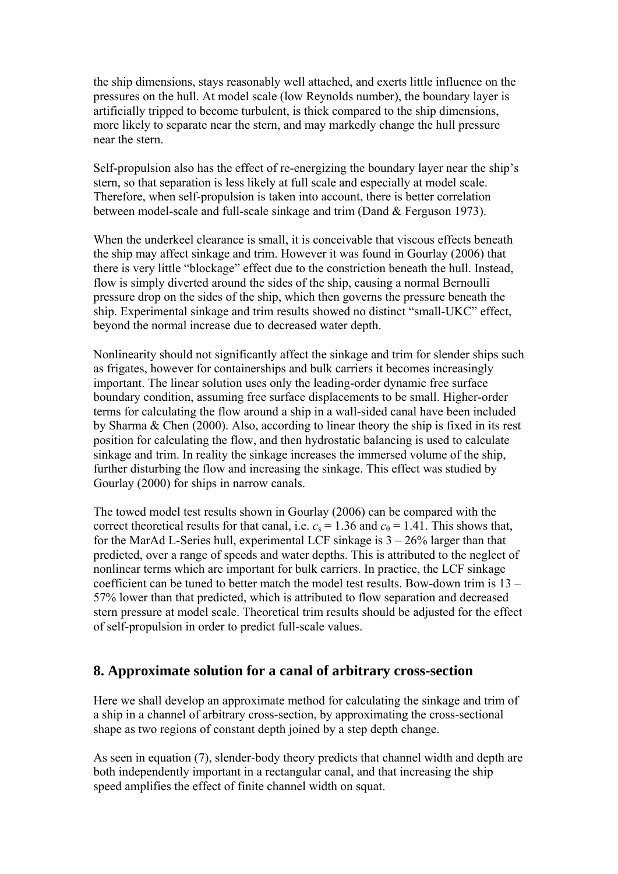the ship dimensions, stays reasonably well attached, and exerts little influence on the pressures on the hull. At model scale (low Reynolds number), the boundary layer is artificially tripped to become turbulent, is thick compared to the ship dimensions, more likely to separate near the stern, and may markedly change the hull pressure near the stern.

Self-propulsion also has the effect of re-energizing the boundary layer near the ship's stern, so that separation is less likely at full scale and especially at model scale. Therefore, when self-propulsion is taken into account, there is better correlation between model-scale and full-scale sinkage and trim (Dand & Ferguson 1973).

When the underkeel clearance is small, it is conceivable that viscous effects beneath the ship may affect sinkage and trim. However it was found in Gourlay (2006) that there is very little "blockage" effect due to the constriction beneath the hull. Instead, flow is simply diverted around the sides of the ship, causing a normal Bernoulli pressure drop on the sides of the ship, which then governs the pressure beneath the ship. Experimental sinkage and trim results showed no distinct "small-UKC" effect, beyond the normal increase due to decreased water depth.

Nonlinearity should not significantly affect the sinkage and trim for slender ships such as frigates, however for containerships and bulk carriers it becomes increasingly important. The linear solution uses only the leading-order dynamic free surface boundary condition, assuming free surface displacements to be small. Higher-order terms for calculating the flow around a ship in a wall-sided canal have been included by Sharma & Chen (2000). Also, according to linear theory the ship is fixed in its rest position for calculating the flow, and then hydrostatic balancing is used to calculate sinkage and trim. In reality the sinkage increases the immersed volume of the ship, further disturbing the flow and increasing the sinkage. This effect was studied by Gourlay (2000) for ships in narrow canals.

The towed model test results shown in Gourlay (2006) can be compared with the correct theoretical results for that canal, i.e.  $c_s = 1.36$  and  $c_{\theta} = 1.41$ . This shows that, for the MarAd L-Series hull, experimental LCF sinkage is  $3 - 26\%$  larger than that predicted, over a range of speeds and water depths. This is attributed to the neglect of nonlinear terms which are important for bulk carriers. In practice, the LCF sinkage coefficient can be tuned to better match the model test results. Bow-down trim is 13 – 57% lower than that predicted, which is attributed to flow separation and decreased stern pressure at model scale. Theoretical trim results should be adjusted for the effect of self-propulsion in order to predict full-scale values.

### **8. Approximate solution for a canal of arbitrary cross-section**

Here we shall develop an approximate method for calculating the sinkage and trim of a ship in a channel of arbitrary cross-section, by approximating the cross-sectional shape as two regions of constant depth joined by a step depth change.

As seen in equation (7), slender-body theory predicts that channel width and depth are both independently important in a rectangular canal, and that increasing the ship speed amplifies the effect of finite channel width on squat.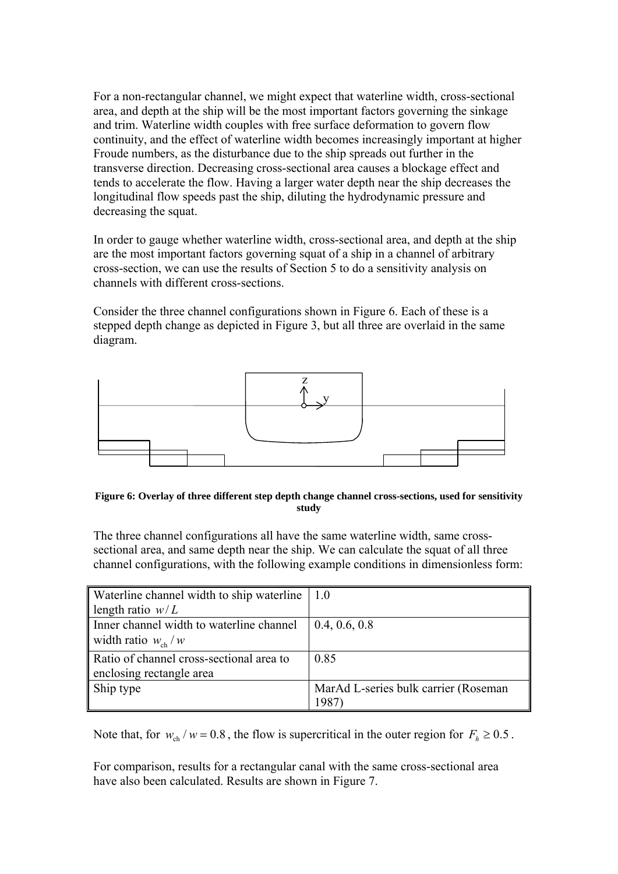For a non-rectangular channel, we might expect that waterline width, cross-sectional area, and depth at the ship will be the most important factors governing the sinkage and trim. Waterline width couples with free surface deformation to govern flow continuity, and the effect of waterline width becomes increasingly important at higher Froude numbers, as the disturbance due to the ship spreads out further in the transverse direction. Decreasing cross-sectional area causes a blockage effect and tends to accelerate the flow. Having a larger water depth near the ship decreases the longitudinal flow speeds past the ship, diluting the hydrodynamic pressure and decreasing the squat.

In order to gauge whether waterline width, cross-sectional area, and depth at the ship are the most important factors governing squat of a ship in a channel of arbitrary cross-section, we can use the results of Section 5 to do a sensitivity analysis on channels with different cross-sections.

Consider the three channel configurations shown in Figure 6. Each of these is a stepped depth change as depicted in Figure 3, but all three are overlaid in the same diagram.



**Figure 6: Overlay of three different step depth change channel cross-sections, used for sensitivity study** 

The three channel configurations all have the same waterline width, same crosssectional area, and same depth near the ship. We can calculate the squat of all three channel configurations, with the following example conditions in dimensionless form:

| Waterline channel width to ship waterline | 10                                   |
|-------------------------------------------|--------------------------------------|
| length ratio $w/L$                        |                                      |
| Inner channel width to waterline channel  | 0.4, 0.6, 0.8                        |
| width ratio $w_{ch} / w$                  |                                      |
| Ratio of channel cross-sectional area to  | 0.85                                 |
| enclosing rectangle area                  |                                      |
| Ship type                                 | MarAd L-series bulk carrier (Roseman |
|                                           | 1987                                 |

Note that, for  $w_{ch} / w = 0.8$ , the flow is supercritical in the outer region for  $F_h \ge 0.5$ .

For comparison, results for a rectangular canal with the same cross-sectional area have also been calculated. Results are shown in Figure 7.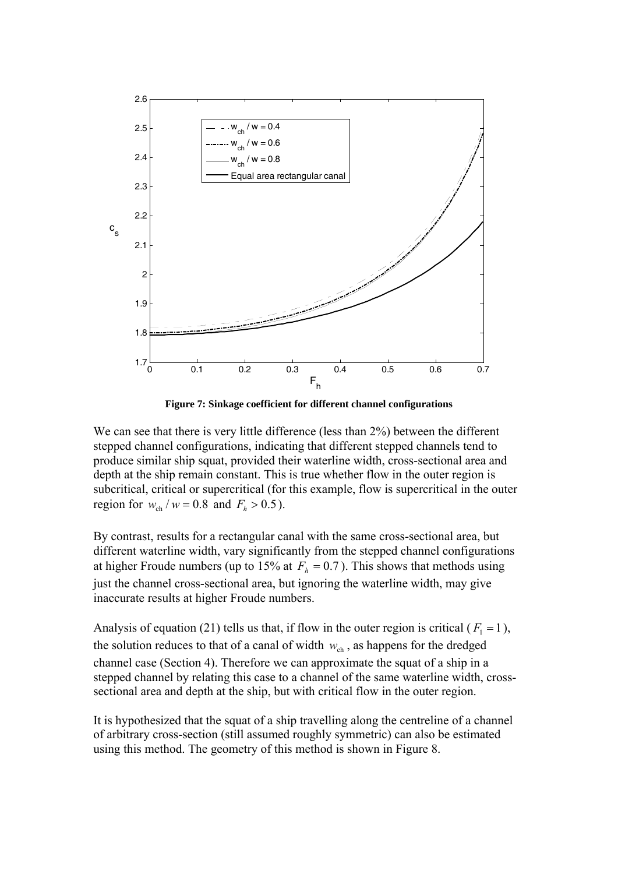

**Figure 7: Sinkage coefficient for different channel configurations** 

We can see that there is very little difference (less than 2%) between the different stepped channel configurations, indicating that different stepped channels tend to produce similar ship squat, provided their waterline width, cross-sectional area and depth at the ship remain constant. This is true whether flow in the outer region is subcritical, critical or supercritical (for this example, flow is supercritical in the outer region for  $w_{ch} / w = 0.8$  and  $F_h > 0.5$ ).

By contrast, results for a rectangular canal with the same cross-sectional area, but different waterline width, vary significantly from the stepped channel configurations at higher Froude numbers (up to 15% at  $F<sub>k</sub> = 0.7$ ). This shows that methods using just the channel cross-sectional area, but ignoring the waterline width, may give inaccurate results at higher Froude numbers.

Analysis of equation (21) tells us that, if flow in the outer region is critical ( $F_1 = 1$ ), the solution reduces to that of a canal of width  $w_{ch}$ , as happens for the dredged channel case (Section 4). Therefore we can approximate the squat of a ship in a stepped channel by relating this case to a channel of the same waterline width, crosssectional area and depth at the ship, but with critical flow in the outer region.

It is hypothesized that the squat of a ship travelling along the centreline of a channel of arbitrary cross-section (still assumed roughly symmetric) can also be estimated using this method. The geometry of this method is shown in Figure 8.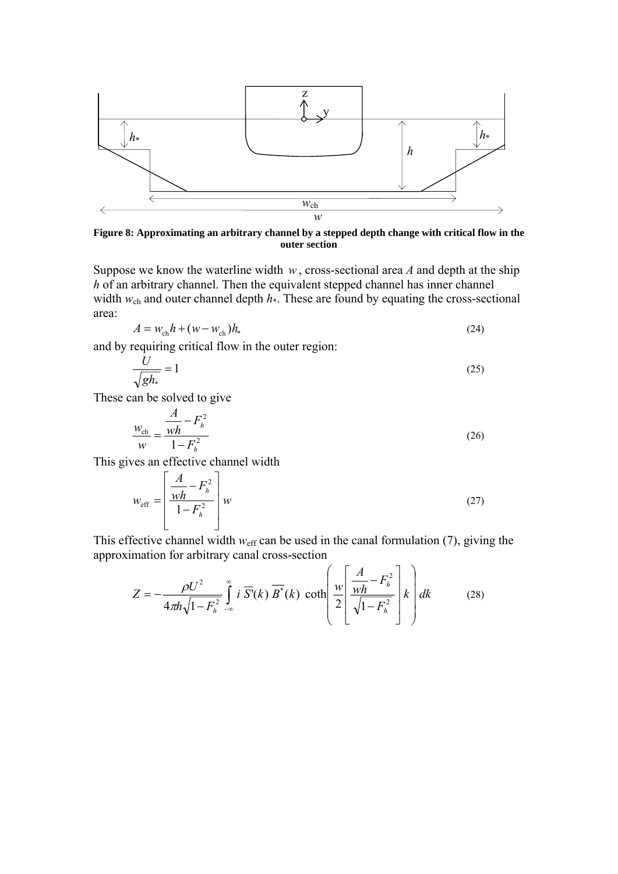

**Figure 8: Approximating an arbitrary channel by a stepped depth change with critical flow in the outer section** 

Suppose we know the waterline width *w* , cross-sectional area *A* and depth at the ship *h* of an arbitrary channel. Then the equivalent stepped channel has inner channel width  $w_{ch}$  and outer channel depth  $h^*$ . These are found by equating the cross-sectional area:

$$
A = w_{\rm ch} h + (w - w_{\rm ch}) h_* \tag{24}
$$

and by requiring critical flow in the outer region:

$$
\frac{U}{\sqrt{gh_*}} = 1\tag{25}
$$

These can be solved to give

$$
\frac{w_{\text{ch}}}{w} = \frac{\frac{A}{wh} - F_h^2}{1 - F_h^2}
$$
 (26)

This gives an effective channel width

$$
w_{\text{eff}} = \left[ \frac{\frac{A}{wh} - F_h^2}{1 - F_h^2} \right] w
$$
 (27)

This effective channel width  $w_{\text{eff}}$  can be used in the canal formulation (7), giving the approximation for arbitrary canal cross-section

$$
Z = -\frac{\rho U^2}{4\pi h \sqrt{1 - F_h^2}} \int_{-\infty}^{\infty} i \ \overline{S'}(k) \ \overline{B^*}(k) \ \coth\left(\frac{w}{2} \left[ \frac{A}{wh} - F_h^2 \right] k \right) dk \tag{28}
$$

 $\sqrt{2}$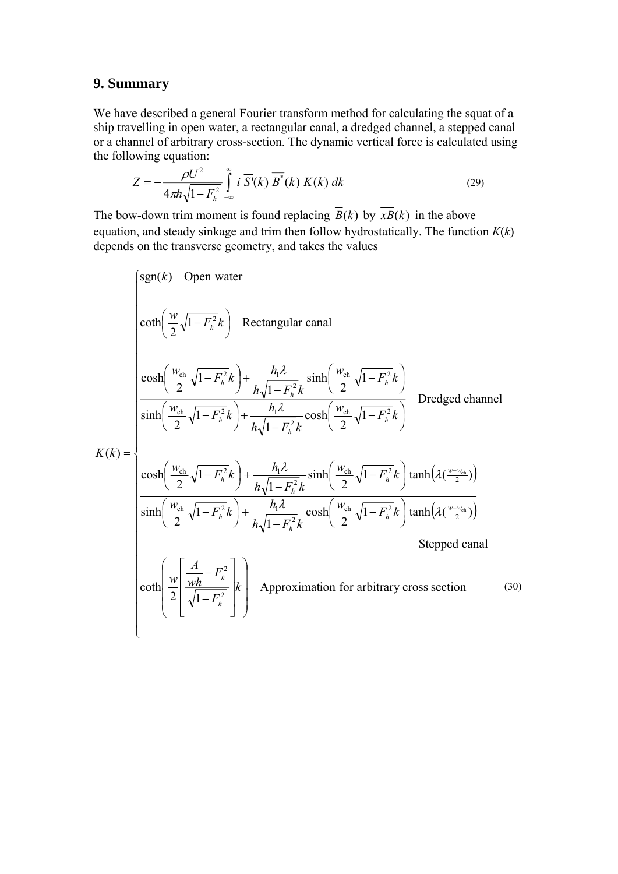## **9. Summary**

We have described a general Fourier transform method for calculating the squat of a ship travelling in open water, a rectangular canal, a dredged channel, a stepped canal or a channel of arbitrary cross-section. The dynamic vertical force is calculated using the following equation:

$$
Z = -\frac{\rho U^2}{4\pi h \sqrt{1 - F_h^2}} \int_{-\infty}^{\infty} i \overline{S'}(k) \overline{B'}(k) K(k) dk
$$
 (29)

The bow-down trim moment is found replacing  $\overline{B}(k)$  by  $\overline{xB}(k)$  in the above equation, and steady sinkage and trim then follow hydrostatically. The function  $K(k)$ depends on the transverse geometry, and takes the values

$$
\begin{pmatrix}\nsgn(k) & \text{Open water} \\
\coth\left(\frac{w}{2}\sqrt{1-F_{h}^{2}}k\right) & \text{Rectangular canal} \\
\cosh\left(\frac{w_{ch}}{2}\sqrt{1-F_{h}^{2}}k\right) + \frac{h_{1}\lambda}{h\sqrt{1-F_{h}^{2}}k}\sinh\left(\frac{w_{ch}}{2}\sqrt{1-F_{h}^{2}}k\right) \\
\sinh\left(\frac{w_{ch}}{2}\sqrt{1-F_{h}^{2}}k\right) + \frac{h_{1}\lambda}{h\sqrt{1-F_{h}^{2}}k}\cosh\left(\frac{w_{ch}}{2}\sqrt{1-F_{h}^{2}}k\right) & \text{Dredged channel} \\
K(k) = \begin{cases}\n\cosh\left(\frac{w_{ch}}{2}\sqrt{1-F_{h}^{2}}k\right) + \frac{h_{1}\lambda}{h\sqrt{1-F_{h}^{2}}k}\cosh\left(\frac{w_{ch}}{2}\sqrt{1-F_{h}^{2}}k\right) & \text{Dredged channel} \\
\cosh\left(\frac{w_{ch}}{2}\sqrt{1-F_{h}^{2}}k\right) + \frac{h_{1}\lambda}{h\sqrt{1-F_{h}^{2}}k}\sinh\left(\frac{w_{ch}}{2}\sqrt{1-F_{h}^{2}}k\right)\tanh\left(\lambda\left(\frac{w_{em}}{2})\right)\n\end{cases} \\
\sinh\left(\frac{w_{ch}}{2}\sqrt{1-F_{h}^{2}}k\right) + \frac{h_{1}\lambda}{h\sqrt{1-F_{h}^{2}}k}\cosh\left(\frac{w_{ch}}{2}\sqrt{1-F_{h}^{2}}k\right)\tanh\left(\lambda\left(\frac{w_{em}}{2})\right)\n\end{cases}
$$
\nStepped canal

\n
$$
\coth\left(\frac{w}{2}\left[\frac{\lambda}{\sqrt{1-F_{h}^{2}}}\right]k\right)
$$
\nApproximation for arbitrary cross section

\n(30)